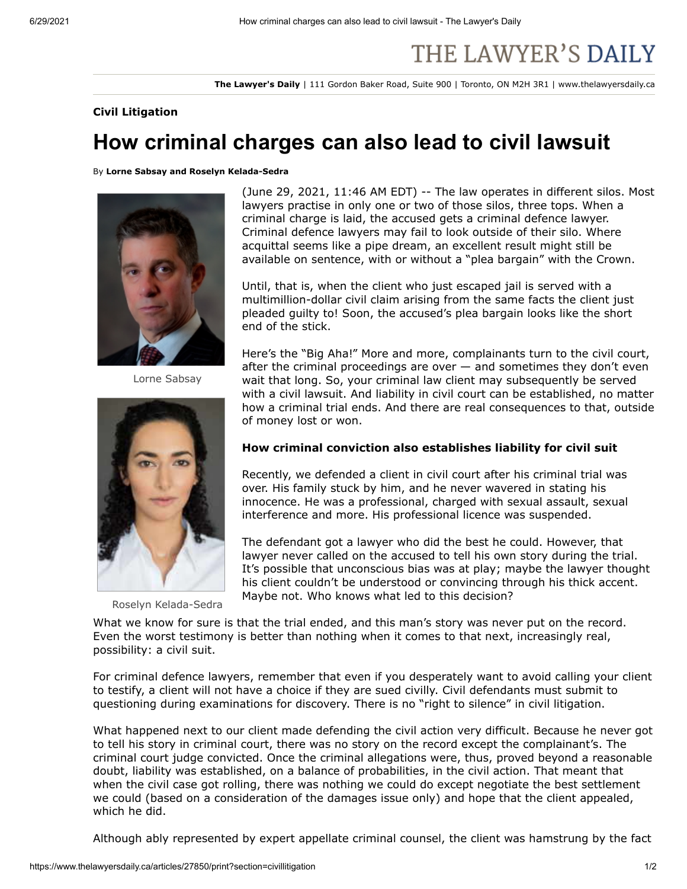# THE LAWYER'S DAILY

**The Lawyer's Daily** | 111 Gordon Baker Road, Suite 900 | Toronto, ON M2H 3R1 | www.thelawyersdaily.ca

## **Civil Litigation**

# **How criminal charges can also lead to civil lawsuit**

By **Lorne Sabsay and Roselyn Kelada-Sedra**



Lorne Sabsay



Roselyn Kelada-Sedra

(June 29, 2021, 11:46 AM EDT) -- The law operates in different silos. Most lawyers practise in only one or two of those silos, three tops. When a criminal charge is laid, the accused gets a criminal defence lawyer. Criminal defence lawyers may fail to look outside of their silo. Where acquittal seems like a pipe dream, an excellent result might still be available on sentence, with or without a "plea bargain" with the Crown.

Until, that is, when the client who just escaped jail is served with a multimillion-dollar civil claim arising from the same facts the client just pleaded guilty to! Soon, the accused's plea bargain looks like the short end of the stick.

Here's the "Big Aha!" More and more, complainants turn to the civil court, after the criminal proceedings are over — and sometimes they don't even wait that long. So, your criminal law client may subsequently be served with a civil lawsuit. And liability in civil court can be established, no matter how a criminal trial ends. And there are real consequences to that, outside of money lost or won.

# **How criminal conviction also establishes liability for civil suit**

Recently, we defended a client in civil court after his criminal trial was over. His family stuck by him, and he never wavered in stating his innocence. He was a professional, charged with sexual assault, sexual interference and more. His professional licence was suspended.

The defendant got a lawyer who did the best he could. However, that lawyer never called on the accused to tell his own story during the trial. It's possible that unconscious bias was at play; maybe the lawyer thought his client couldn't be understood or convincing through his thick accent. Maybe not. Who knows what led to this decision?

What we know for sure is that the trial ended, and this man's story was never put on the record. Even the worst testimony is better than nothing when it comes to that next, increasingly real, possibility: a civil suit.

For criminal defence lawyers, remember that even if you desperately want to avoid calling your client to testify, a client will not have a choice if they are sued civilly. Civil defendants must submit to questioning during examinations for discovery. There is no "right to silence" in civil litigation.

What happened next to our client made defending the civil action very difficult. Because he never got to tell his story in criminal court, there was no story on the record except the complainant's. The criminal court judge convicted. Once the criminal allegations were, thus, proved beyond a reasonable doubt, liability was established, on a balance of probabilities, in the civil action. That meant that when the civil case got rolling, there was nothing we could do except negotiate the best settlement we could (based on a consideration of the damages issue only) and hope that the client appealed, which he did.

Although ably represented by expert appellate criminal counsel, the client was hamstrung by the fact